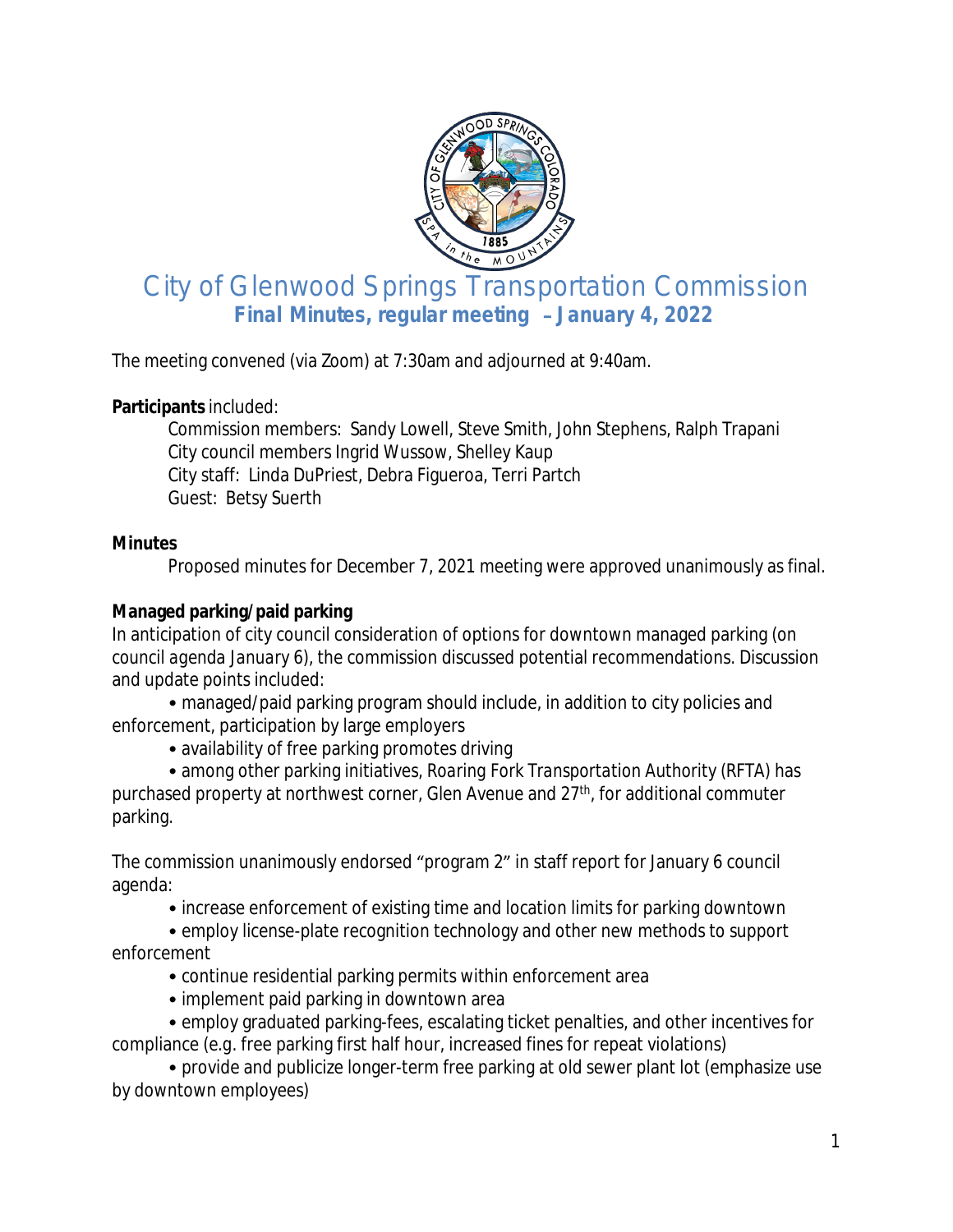

# City of Glenwood Springs Transportation Commission **Final Minutes, regular meeting** – **January 4, 2022**

The meeting convened (via *Zoom*) at 7:30am and adjourned at 9:40am.

#### **Participants** included:

Commission members: Sandy Lowell, Steve Smith, John Stephens, Ralph Trapani City council members Ingrid Wussow, Shelley Kaup City staff: Linda DuPriest, Debra Figueroa, Terri Partch Guest: Betsy Suerth

#### **Minutes**

Proposed minutes for December 7, 2021 meeting were approved unanimously as final.

# **Managed parking/paid parking**

In anticipation of city council consideration of options for downtown managed parking (*on council agenda January 6*), the commission discussed potential recommendations. Discussion and update points included:

• managed/paid parking program should include, in addition to city policies and enforcement, participation by large employers

• availability of free parking promotes driving

• among other parking initiatives, *Roaring Fork Transportation Authority* (RFTA) has purchased property at northwest corner, Glen Avenue and 27<sup>th</sup>, for additional commuter parking.

The commission unanimously endorsed "program 2" in staff report for January 6 council agenda:

• increase enforcement of existing time and location limits for parking downtown

• employ license-plate recognition technology and other new methods to support enforcement

- continue residential parking permits within enforcement area
- implement paid parking in downtown area

• employ graduated parking-fees, escalating ticket penalties, and other incentives for compliance (*e.g*. free parking first half hour, increased fines for repeat violations)

• provide and publicize longer-term free parking at old sewer plant lot (emphasize use by downtown employees)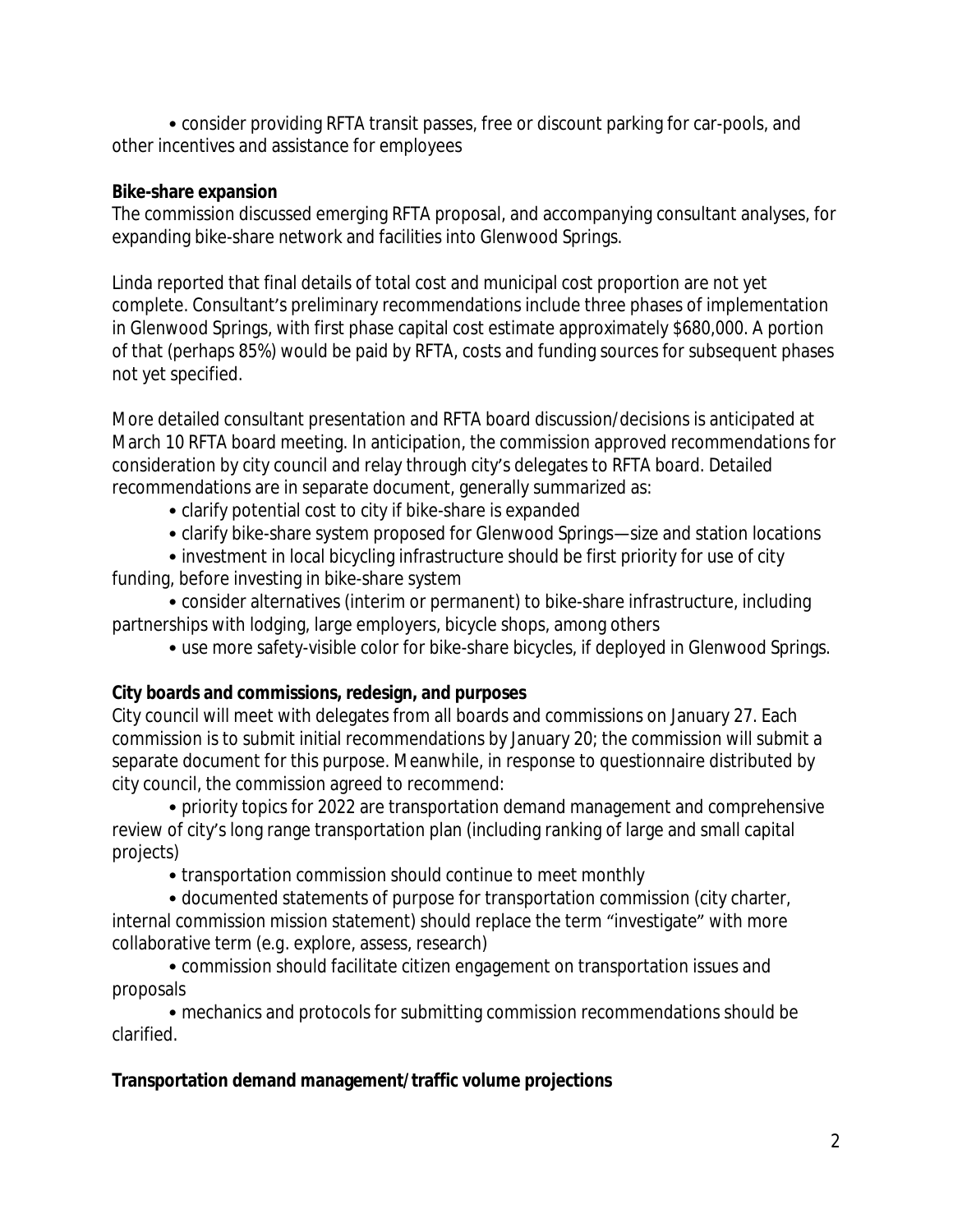• consider providing RFTA transit passes, free or discount parking for car-pools, and other incentives and assistance for employees

# **Bike-share expansion**

The commission discussed emerging RFTA proposal, and accompanying consultant analyses, for expanding bike-share network and facilities into Glenwood Springs.

Linda reported that final details of total cost and municipal cost proportion are not yet complete. Consultant's preliminary recommendations include three phases of implementation in Glenwood Springs, with first phase capital cost estimate approximately \$680,000. A portion of that (perhaps 85%) would be paid by RFTA, costs and funding sources for subsequent phases not yet specified.

More detailed consultant presentation and RFTA board discussion/decisions is anticipated at March 10 RFTA board meeting. In anticipation, the commission approved recommendations for consideration by city council and relay through city's delegates to RFTA board. Detailed recommendations are in separate document, generally summarized as:

- clarify potential cost to city if bike-share is expanded
- clarify bike-share system proposed for Glenwood Springs—size and station locations

• investment in local bicycling infrastructure should be first priority for use of city funding, before investing in bike-share system

• consider alternatives (interim or permanent) to bike-share infrastructure, including partnerships with lodging, large employers, bicycle shops, among others

• use more safety-visible color for bike-share bicycles, if deployed in Glenwood Springs.

# **City boards and commissions, redesign, and purposes**

City council will meet with delegates from all boards and commissions on January 27. Each commission is to submit initial recommendations by January 20; the commission will submit a separate document for this purpose. Meanwhile, in response to questionnaire distributed by city council, the commission agreed to recommend:

• priority topics for 2022 are transportation demand management and comprehensive review of city's long range transportation plan (including ranking of large and small capital projects)

• transportation commission should continue to meet monthly

• documented statements of purpose for transportation commission (city charter, internal commission mission statement) should replace the term "investigate" with more collaborative term (*e.g*. explore, assess, research)

• commission should facilitate citizen engagement on transportation issues and proposals

• mechanics and protocols for submitting commission recommendations should be clarified.

# **Transportation demand management/traffic volume projections**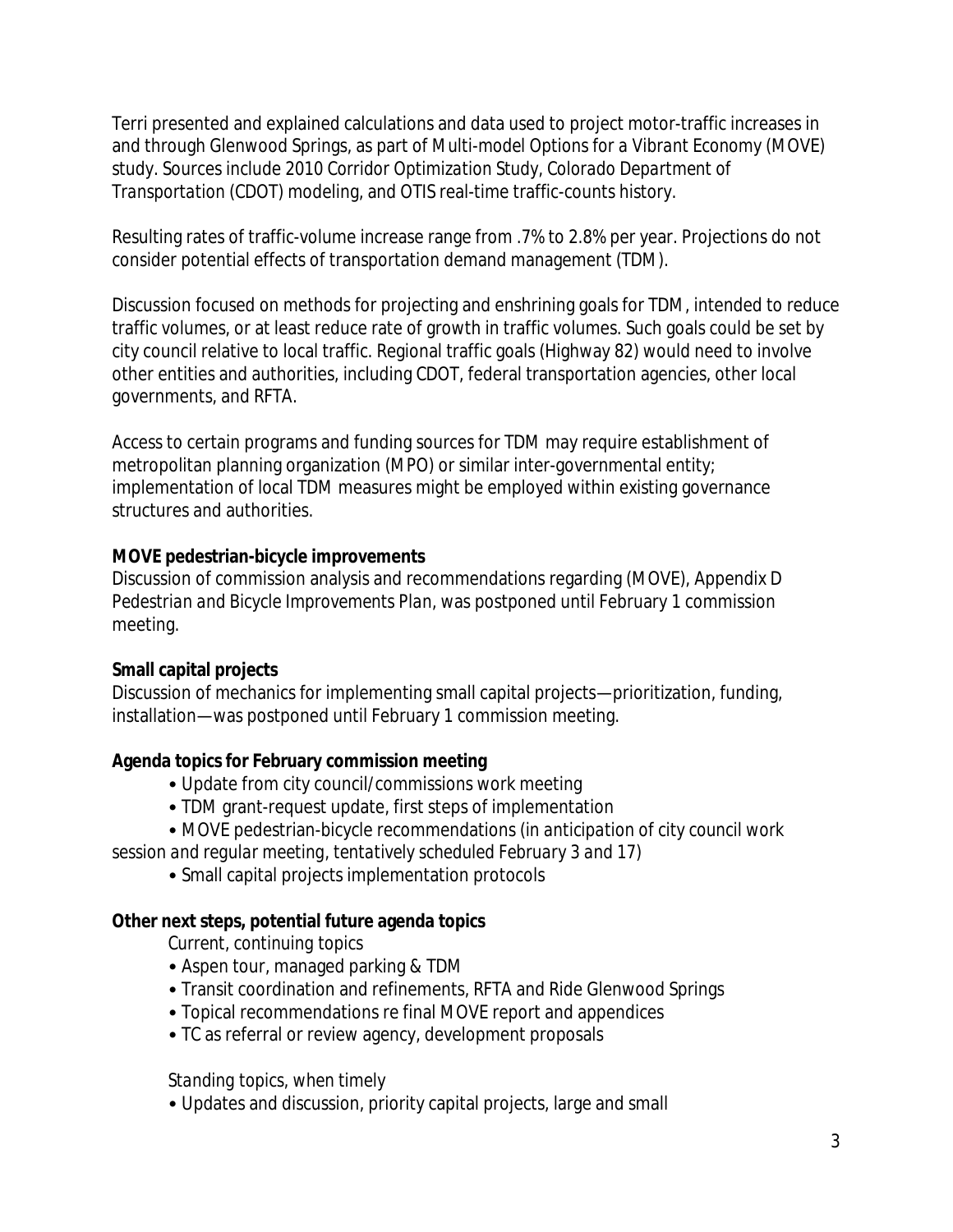Terri presented and explained calculations and data used to project motor-traffic increases in and through Glenwood Springs, as part of *Multi-model Options for a Vibrant Economy* (MOVE) study. Sources include 2010 *Corridor Optimization Study*, *Colorado Department of Transportation* (CDOT) modeling, and OTIS real-time traffic-counts history.

Resulting rates of traffic-volume increase range from .7% to 2.8% per year. Projections do not consider potential effects of transportation demand management (TDM).

Discussion focused on methods for projecting and enshrining goals for TDM, intended to reduce traffic volumes, or at least reduce rate of growth in traffic volumes. Such goals could be set by city council relative to local traffic. Regional traffic goals (Highway 82) would need to involve other entities and authorities, including CDOT, federal transportation agencies, other local governments, and RFTA.

Access to certain programs and funding sources for TDM may require establishment of metropolitan planning organization (MPO) or similar inter-governmental entity; implementation of local TDM measures might be employed within existing governance structures and authorities.

#### **MOVE pedestrian-bicycle improvements**

Discussion of commission analysis and recommendations regarding (MOVE), Appendix D *Pedestrian and Bicycle Improvements Plan*, was postponed until February 1 commission meeting.

# **Small capital projects**

Discussion of mechanics for implementing small capital projects—prioritization, funding, installation—was postponed until February 1 commission meeting.

# **Agenda topics for February commission meeting**

- Update from city council/commissions work meeting
- TDM grant-request update, first steps of implementation
- MOVE pedestrian-bicycle recommendations (*in anticipation of city council work*

*session and regular meeting, tentatively scheduled February 3 and 17*)

• Small capital projects implementation protocols

#### **Other next steps, potential future agenda topics**

*Current, continuing topics*

- Aspen tour, managed parking & TDM
- Transit coordination and refinements, RFTA and Ride Glenwood Springs
- Topical recommendations re final MOVE report and appendices
- TC as referral or review agency, development proposals

#### *Standing topics, when timely*

• Updates and discussion, priority capital projects, large and small